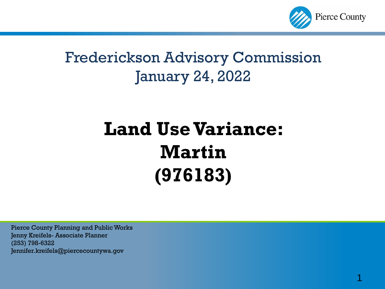

#### Frederickson Advisory Commission January 24, 2022

## **Land Use Variance: Martin (976183)**

Pierce County Planning and Public Works Jenny Kreifels- Associate Planner (253) 798-6322 Jennifer.kreifels@piercecountywa.gov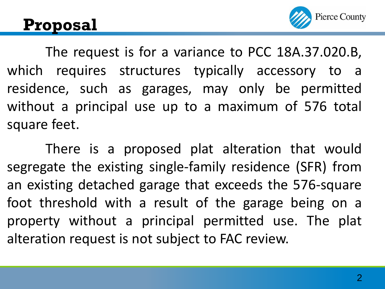#### **Proposal**



The request is for a variance to PCC 18A.37.020.B, which requires structures typically accessory to a residence, such as garages, may only be permitted without a principal use up to a maximum of 576 total square feet.

There is a proposed plat alteration that would segregate the existing single-family residence (SFR) from an existing detached garage that exceeds the 576-square foot threshold with a result of the garage being on a property without a principal permitted use. The plat alteration request is not subject to FAC review.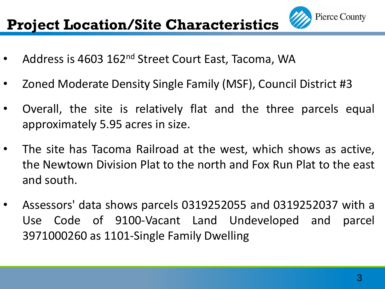#### **Project Location/Site Characteristics**

- Address is 4603 162<sup>nd</sup> Street Court East, Tacoma, WA
- Zoned Moderate Density Single Family (MSF), Council District #3
- Overall, the site is relatively flat and the three parcels equal approximately 5.95 acres in size.
- The site has Tacoma Railroad at the west, which shows as active, the Newtown Division Plat to the north and Fox Run Plat to the east and south.
- Assessors' data shows parcels 0319252055 and 0319252037 with a Use Code of 9100-Vacant Land Undeveloped and parcel 3971000260 as 1101-Single Family Dwelling

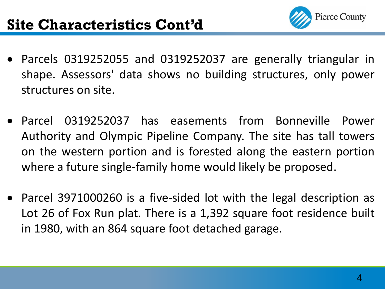

- Parcels 0319252055 and 0319252037 are generally triangular in shape. Assessors' data shows no building structures, only power structures on site.
- Parcel 0319252037 has easements from Bonneville Power Authority and Olympic Pipeline Company. The site has tall towers on the western portion and is forested along the eastern portion where a future single-family home would likely be proposed.
- Parcel 3971000260 is a five-sided lot with the legal description as Lot 26 of Fox Run plat. There is a 1,392 square foot residence built in 1980, with an 864 square foot detached garage.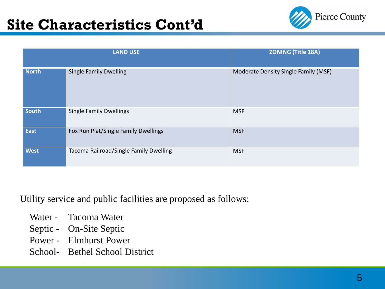

|              | <b>LAND USE</b>                        | <b>ZONING (Title 18A)</b>            |
|--------------|----------------------------------------|--------------------------------------|
| <b>North</b> | <b>Single Family Dwelling</b>          | Moderate Density Single Family (MSF) |
| <b>South</b> | <b>Single Family Dwellings</b>         | <b>MSF</b>                           |
| <b>East</b>  | Fox Run Plat/Single Family Dwellings   | <b>MSF</b>                           |
| <b>West</b>  | Tacoma Railroad/Single Family Dwelling | <b>MSF</b>                           |

Utility service and public facilities are proposed as follows:

- Water Tacoma Water
- Septic On-Site Septic
- Power Elmhurst Power
- School- Bethel School District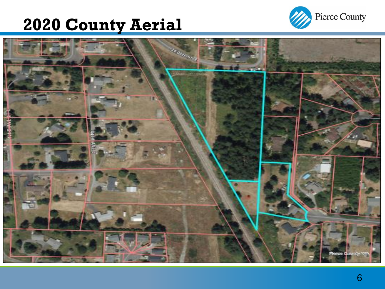### **2020 County Aerial**



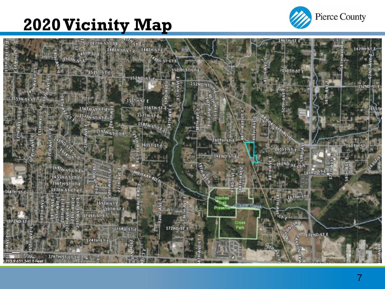### **2020 Vicinity Map**



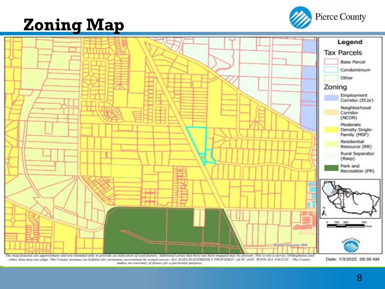#### **Zoning Map**





makes no warranty of fitness for a particular purpose.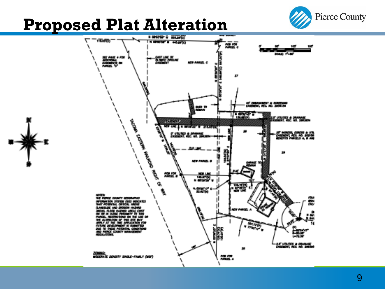

# **Proposed Plat Alteration**

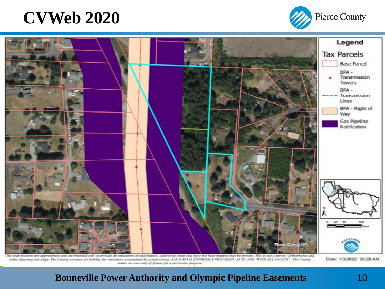#### **CVWeb 2020**





The map features are approximate and are intended only to provide an indication of said feature. Additional areas that have not been mapped may be present. This is not a turvey. Orthophotos and other data may not align. The County annuncs no hability for variations accertainal by actual survey. ALL DATA IS EXPRESSLY PROVIDED 'AS IS AND 'WITH ALL FAULTS'. The County makes no warranty of feness for a particular purpose.

Date: 1/3/2022 09:28 AM

#### **Bonneville Power Authority and Olympic Pipeline Easements** 10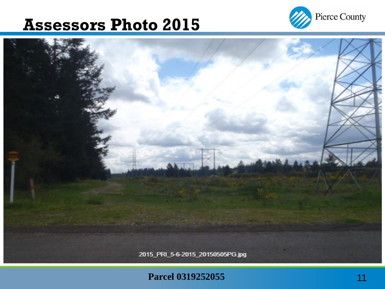#### **Assessors Photo 2015**





#### **Parcel 0319252055** 11 **11 11**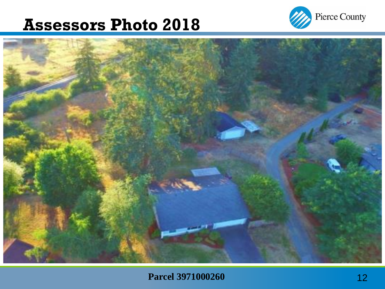#### **Assessors Photo 2018**



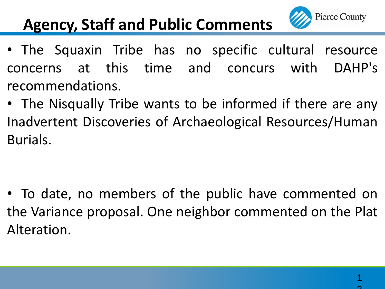

#### **Agency, Staff and Public Comments**

- The Squaxin Tribe has no specific cultural resource concerns at this time and concurs with DAHP's recommendations.
- The Nisqually Tribe wants to be informed if there are any Inadvertent Discoveries of Archaeological Resources/Human Burials.

• To date, no members of the public have commented on the Variance proposal. One neighbor commented on the Plat Alteration.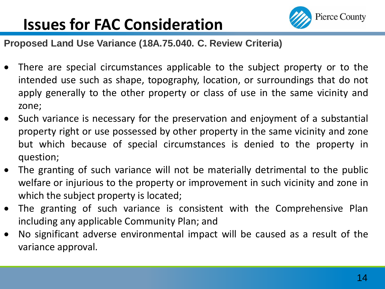### **Issues for FAC Consideration**



**Proposed Land Use Variance (18A.75.040. C. Review Criteria)**

- There are special circumstances applicable to the subject property or to the intended use such as shape, topography, location, or surroundings that do not apply generally to the other property or class of use in the same vicinity and zone;
- Such variance is necessary for the preservation and enjoyment of a substantial property right or use possessed by other property in the same vicinity and zone but which because of special circumstances is denied to the property in question;
- The granting of such variance will not be materially detrimental to the public welfare or injurious to the property or improvement in such vicinity and zone in which the subject property is located;
- The granting of such variance is consistent with the Comprehensive Plan including any applicable Community Plan; and
- No significant adverse environmental impact will be caused as a result of the variance approval.